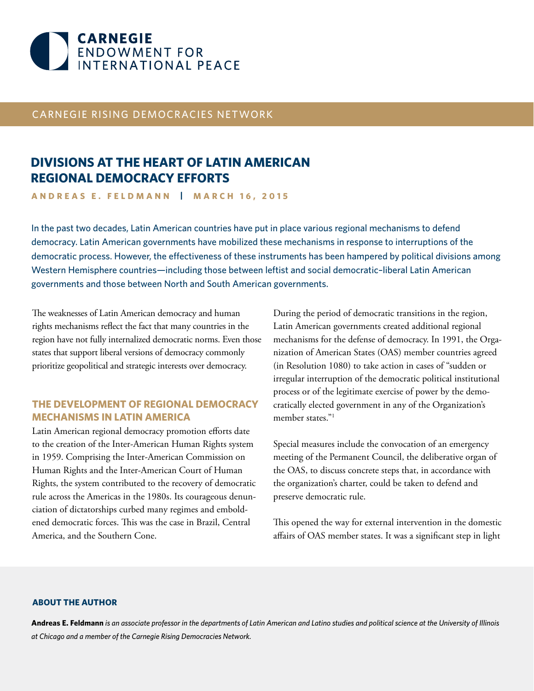

## CARNEGIE RISING DEMOCRACIES NETWORK

# **DIVISIONS AT THE HEART OF LATIN AMERICAN REGIONAL DEMOCRACY EFFORTS**

**ANDREAS E. FELDMANN | MARCH 16, 2015**

In the past two decades, Latin American countries have put in place various regional mechanisms to defend democracy. Latin American governments have mobilized these mechanisms in response to interruptions of the democratic process. However, the effectiveness of these instruments has been hampered by political divisions among Western Hemisphere countries—including those between leftist and social democratic–liberal Latin American governments and those between North and South American governments.

The weaknesses of Latin American democracy and human rights mechanisms reflect the fact that many countries in the region have not fully internalized democratic norms. Even those states that support liberal versions of democracy commonly prioritize geopolitical and strategic interests over democracy.

## **THE DEVELOPMENT OF REGIONAL DEMOCRACY MECHANISMS IN LATIN AMERICA**

Latin American regional democracy promotion efforts date to the creation of the Inter-American Human Rights system in 1959. Comprising the Inter-American Commission on Human Rights and the Inter-American Court of Human Rights, the system contributed to the recovery of democratic rule across the Americas in the 1980s. Its courageous denunciation of dictatorships curbed many regimes and emboldened democratic forces. This was the case in Brazil, Central America, and the Southern Cone.

During the period of democratic transitions in the region, Latin American governments created additional regional mechanisms for the defense of democracy. In 1991, the Organization of American States (OAS) member countries agreed (in Resolution 1080) to take action in cases of "sudden or irregular interruption of the democratic political institutional process or of the legitimate exercise of power by the democratically elected government in any of the Organization's member states<sup>"1</sup>

Special measures include the convocation of an emergency meeting of the Permanent Council, the deliberative organ of the OAS, to discuss concrete steps that, in accordance with the organization's charter, could be taken to defend and preserve democratic rule.

This opened the way for external intervention in the domestic affairs of OAS member states. It was a significant step in light

#### **ABOUT THE AUTHOR**

**Andreas E. Feldmann** *is an associate professor in the departments of Latin American and Latino studies and political science at the University of Illinois at Chicago and a member of the Carnegie Rising Democracies Network.*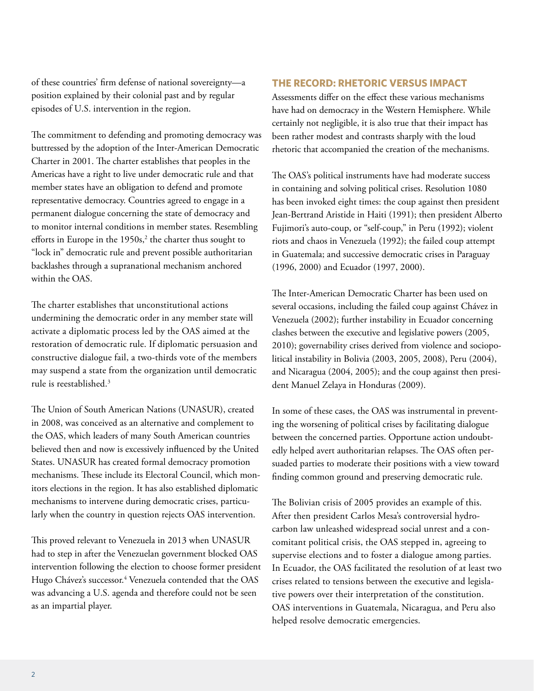of these countries' firm defense of national sovereignty—a position explained by their colonial past and by regular episodes of U.S. intervention in the region.

The commitment to defending and promoting democracy was buttressed by the adoption of the Inter-American Democratic Charter in 2001. The charter establishes that peoples in the Americas have a right to live under democratic rule and that member states have an obligation to defend and promote representative democracy. Countries agreed to engage in a permanent dialogue concerning the state of democracy and to monitor internal conditions in member states. Resembling efforts in Europe in the  $1950s<sup>2</sup>$ , the charter thus sought to "lock in" democratic rule and prevent possible authoritarian backlashes through a supranational mechanism anchored within the OAS.

The charter establishes that unconstitutional actions undermining the democratic order in any member state will activate a diplomatic process led by the OAS aimed at the restoration of democratic rule. If diplomatic persuasion and constructive dialogue fail, a two-thirds vote of the members may suspend a state from the organization until democratic rule is reestablished.3

The Union of South American Nations (UNASUR), created in 2008, was conceived as an alternative and complement to the OAS, which leaders of many South American countries believed then and now is excessively influenced by the United States. UNASUR has created formal democracy promotion mechanisms. These include its Electoral Council, which monitors elections in the region. It has also established diplomatic mechanisms to intervene during democratic crises, particularly when the country in question rejects OAS intervention.

This proved relevant to Venezuela in 2013 when UNASUR had to step in after the Venezuelan government blocked OAS intervention following the election to choose former president Hugo Chávez's successor.<sup>4</sup> Venezuela contended that the OAS was advancing a U.S. agenda and therefore could not be seen as an impartial player.

## **THE RECORD: RHETORIC VERSUS IMPACT**

Assessments differ on the effect these various mechanisms have had on democracy in the Western Hemisphere. While certainly not negligible, it is also true that their impact has been rather modest and contrasts sharply with the loud rhetoric that accompanied the creation of the mechanisms.

The OAS's political instruments have had moderate success in containing and solving political crises. Resolution 1080 has been invoked eight times: the coup against then president Jean-Bertrand Aristide in Haiti (1991); then president Alberto Fujimori's auto-coup, or "self-coup," in Peru (1992); violent riots and chaos in Venezuela (1992); the failed coup attempt in Guatemala; and successive democratic crises in Paraguay (1996, 2000) and Ecuador (1997, 2000).

The Inter-American Democratic Charter has been used on several occasions, including the failed coup against Chávez in Venezuela (2002); further instability in Ecuador concerning clashes between the executive and legislative powers (2005, 2010); governability crises derived from violence and sociopolitical instability in Bolivia (2003, 2005, 2008), Peru (2004), and Nicaragua (2004, 2005); and the coup against then president Manuel Zelaya in Honduras (2009).

In some of these cases, the OAS was instrumental in preventing the worsening of political crises by facilitating dialogue between the concerned parties. Opportune action undoubtedly helped avert authoritarian relapses. The OAS often persuaded parties to moderate their positions with a view toward finding common ground and preserving democratic rule.

The Bolivian crisis of 2005 provides an example of this. After then president Carlos Mesa's controversial hydrocarbon law unleashed widespread social unrest and a concomitant political crisis, the OAS stepped in, agreeing to supervise elections and to foster a dialogue among parties. In Ecuador, the OAS facilitated the resolution of at least two crises related to tensions between the executive and legislative powers over their interpretation of the constitution. OAS interventions in Guatemala, Nicaragua, and Peru also helped resolve democratic emergencies.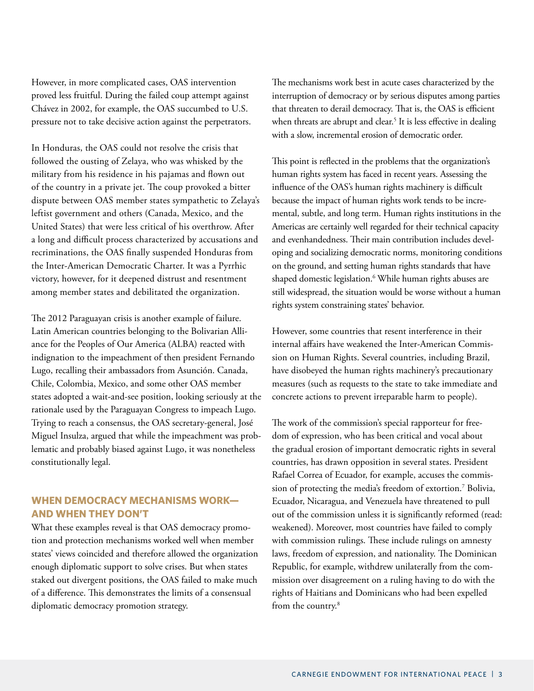However, in more complicated cases, OAS intervention proved less fruitful. During the failed coup attempt against Chávez in 2002, for example, the OAS succumbed to U.S. pressure not to take decisive action against the perpetrators.

In Honduras, the OAS could not resolve the crisis that followed the ousting of Zelaya, who was whisked by the military from his residence in his pajamas and flown out of the country in a private jet. The coup provoked a bitter dispute between OAS member states sympathetic to Zelaya's leftist government and others (Canada, Mexico, and the United States) that were less critical of his overthrow. After a long and difficult process characterized by accusations and recriminations, the OAS finally suspended Honduras from the Inter-American Democratic Charter. It was a Pyrrhic victory, however, for it deepened distrust and resentment among member states and debilitated the organization.

The 2012 Paraguayan crisis is another example of failure. Latin American countries belonging to the Bolivarian Alliance for the Peoples of Our America (ALBA) reacted with indignation to the impeachment of then president Fernando Lugo, recalling their ambassadors from Asunción. Canada, Chile, Colombia, Mexico, and some other OAS member states adopted a wait-and-see position, looking seriously at the rationale used by the Paraguayan Congress to impeach Lugo. Trying to reach a consensus, the OAS secretary-general, José Miguel Insulza, argued that while the impeachment was problematic and probably biased against Lugo, it was nonetheless constitutionally legal.

## **WHEN DEMOCRACY MECHANISMS WORK— AND WHEN THEY DON'T**

What these examples reveal is that OAS democracy promotion and protection mechanisms worked well when member states' views coincided and therefore allowed the organization enough diplomatic support to solve crises. But when states staked out divergent positions, the OAS failed to make much of a difference. This demonstrates the limits of a consensual diplomatic democracy promotion strategy.

The mechanisms work best in acute cases characterized by the interruption of democracy or by serious disputes among parties that threaten to derail democracy. That is, the OAS is efficient when threats are abrupt and clear.<sup>5</sup> It is less effective in dealing with a slow, incremental erosion of democratic order.

This point is reflected in the problems that the organization's human rights system has faced in recent years. Assessing the influence of the OAS's human rights machinery is difficult because the impact of human rights work tends to be incremental, subtle, and long term. Human rights institutions in the Americas are certainly well regarded for their technical capacity and evenhandedness. Their main contribution includes developing and socializing democratic norms, monitoring conditions on the ground, and setting human rights standards that have shaped domestic legislation.6 While human rights abuses are still widespread, the situation would be worse without a human rights system constraining states' behavior.

However, some countries that resent interference in their internal affairs have weakened the Inter-American Commission on Human Rights. Several countries, including Brazil, have disobeyed the human rights machinery's precautionary measures (such as requests to the state to take immediate and concrete actions to prevent irreparable harm to people).

The work of the commission's special rapporteur for freedom of expression, who has been critical and vocal about the gradual erosion of important democratic rights in several countries, has drawn opposition in several states. President Rafael Correa of Ecuador, for example, accuses the commission of protecting the media's freedom of extortion.7 Bolivia, Ecuador, Nicaragua, and Venezuela have threatened to pull out of the commission unless it is significantly reformed (read: weakened). Moreover, most countries have failed to comply with commission rulings. These include rulings on amnesty laws, freedom of expression, and nationality. The Dominican Republic, for example, withdrew unilaterally from the commission over disagreement on a ruling having to do with the rights of Haitians and Dominicans who had been expelled from the country.<sup>8</sup>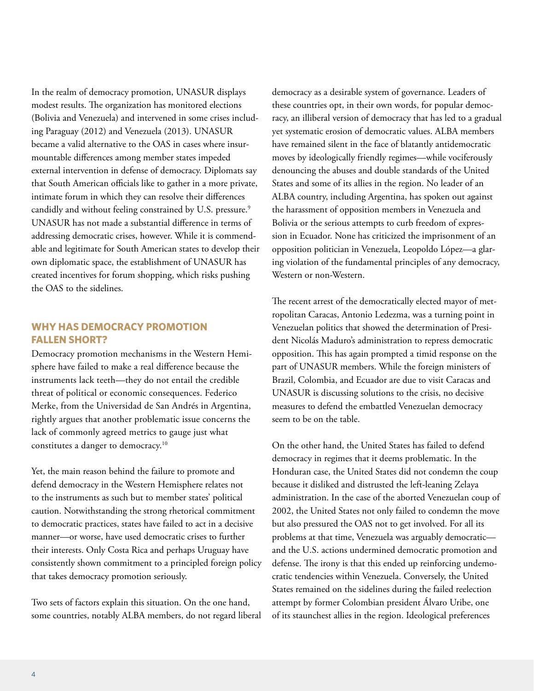In the realm of democracy promotion, UNASUR displays modest results. The organization has monitored elections (Bolivia and Venezuela) and intervened in some crises including Paraguay (2012) and Venezuela (2013). UNASUR became a valid alternative to the OAS in cases where insurmountable differences among member states impeded external intervention in defense of democracy. Diplomats say that South American officials like to gather in a more private, intimate forum in which they can resolve their differences candidly and without feeling constrained by U.S. pressure.<sup>9</sup> UNASUR has not made a substantial difference in terms of addressing democratic crises, however. While it is commendable and legitimate for South American states to develop their own diplomatic space, the establishment of UNASUR has created incentives for forum shopping, which risks pushing the OAS to the sidelines.

## **WHY HAS DEMOCRACY PROMOTION FALLEN SHORT?**

Democracy promotion mechanisms in the Western Hemisphere have failed to make a real difference because the instruments lack teeth—they do not entail the credible threat of political or economic consequences. Federico Merke, from the Universidad de San Andrés in Argentina, rightly argues that another problematic issue concerns the lack of commonly agreed metrics to gauge just what constitutes a danger to democracy.10

Yet, the main reason behind the failure to promote and defend democracy in the Western Hemisphere relates not to the instruments as such but to member states' political caution. Notwithstanding the strong rhetorical commitment to democratic practices, states have failed to act in a decisive manner—or worse, have used democratic crises to further their interests. Only Costa Rica and perhaps Uruguay have consistently shown commitment to a principled foreign policy that takes democracy promotion seriously.

Two sets of factors explain this situation. On the one hand, some countries, notably ALBA members, do not regard liberal

democracy as a desirable system of governance. Leaders of these countries opt, in their own words, for popular democracy, an illiberal version of democracy that has led to a gradual yet systematic erosion of democratic values. ALBA members have remained silent in the face of blatantly antidemocratic moves by ideologically friendly regimes—while vociferously denouncing the abuses and double standards of the United States and some of its allies in the region. No leader of an ALBA country, including Argentina, has spoken out against the harassment of opposition members in Venezuela and Bolivia or the serious attempts to curb freedom of expression in Ecuador. None has criticized the imprisonment of an opposition politician in Venezuela, Leopoldo López—a glaring violation of the fundamental principles of any democracy, Western or non-Western.

The recent arrest of the democratically elected mayor of metropolitan Caracas, Antonio Ledezma, was a turning point in Venezuelan politics that showed the determination of President Nicolás Maduro's administration to repress democratic opposition. This has again prompted a timid response on the part of UNASUR members. While the foreign ministers of Brazil, Colombia, and Ecuador are due to visit Caracas and UNASUR is discussing solutions to the crisis, no decisive measures to defend the embattled Venezuelan democracy seem to be on the table.

On the other hand, the United States has failed to defend democracy in regimes that it deems problematic. In the Honduran case, the United States did not condemn the coup because it disliked and distrusted the left-leaning Zelaya administration. In the case of the aborted Venezuelan coup of 2002, the United States not only failed to condemn the move but also pressured the OAS not to get involved. For all its problems at that time, Venezuela was arguably democratic and the U.S. actions undermined democratic promotion and defense. The irony is that this ended up reinforcing undemocratic tendencies within Venezuela. Conversely, the United States remained on the sidelines during the failed reelection attempt by former Colombian president Álvaro Uribe, one of its staunchest allies in the region. Ideological preferences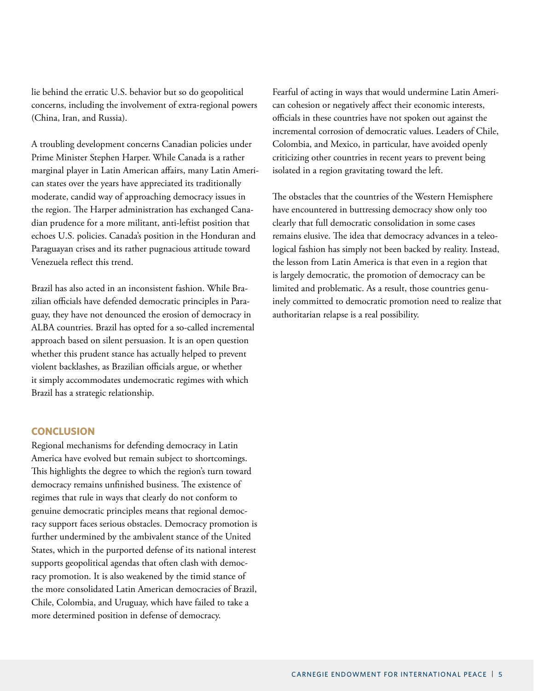lie behind the erratic U.S. behavior but so do geopolitical concerns, including the involvement of extra-regional powers (China, Iran, and Russia).

A troubling development concerns Canadian policies under Prime Minister Stephen Harper. While Canada is a rather marginal player in Latin American affairs, many Latin American states over the years have appreciated its traditionally moderate, candid way of approaching democracy issues in the region. The Harper administration has exchanged Canadian prudence for a more militant, anti-leftist position that echoes U.S. policies. Canada's position in the Honduran and Paraguayan crises and its rather pugnacious attitude toward Venezuela reflect this trend.

Brazil has also acted in an inconsistent fashion. While Brazilian officials have defended democratic principles in Paraguay, they have not denounced the erosion of democracy in ALBA countries. Brazil has opted for a so-called incremental approach based on silent persuasion. It is an open question whether this prudent stance has actually helped to prevent violent backlashes, as Brazilian officials argue, or whether it simply accommodates undemocratic regimes with which Brazil has a strategic relationship.

### **CONCLUSION**

Regional mechanisms for defending democracy in Latin America have evolved but remain subject to shortcomings. This highlights the degree to which the region's turn toward democracy remains unfinished business. The existence of regimes that rule in ways that clearly do not conform to genuine democratic principles means that regional democracy support faces serious obstacles. Democracy promotion is further undermined by the ambivalent stance of the United States, which in the purported defense of its national interest supports geopolitical agendas that often clash with democracy promotion. It is also weakened by the timid stance of the more consolidated Latin American democracies of Brazil, Chile, Colombia, and Uruguay, which have failed to take a more determined position in defense of democracy.

Fearful of acting in ways that would undermine Latin American cohesion or negatively affect their economic interests, officials in these countries have not spoken out against the incremental corrosion of democratic values. Leaders of Chile, Colombia, and Mexico, in particular, have avoided openly criticizing other countries in recent years to prevent being isolated in a region gravitating toward the left.

The obstacles that the countries of the Western Hemisphere have encountered in buttressing democracy show only too clearly that full democratic consolidation in some cases remains elusive. The idea that democracy advances in a teleological fashion has simply not been backed by reality. Instead, the lesson from Latin America is that even in a region that is largely democratic, the promotion of democracy can be limited and problematic. As a result, those countries genuinely committed to democratic promotion need to realize that authoritarian relapse is a real possibility.